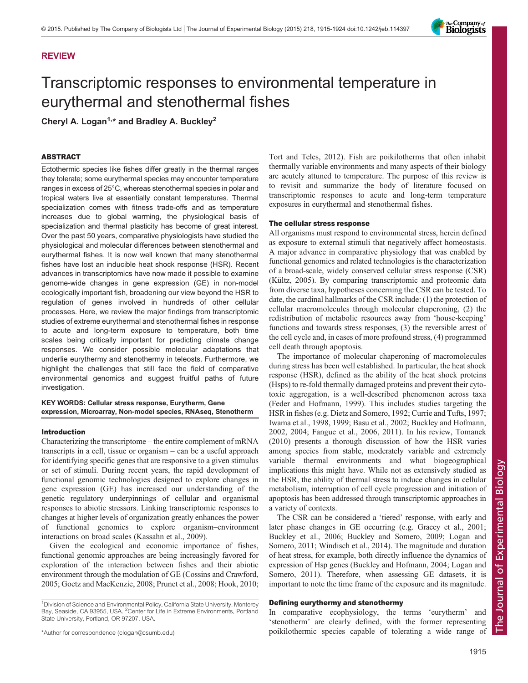## REVIEW

# Transcriptomic responses to environmental temperature in eurythermal and stenothermal fishes

Cheryl A. Logan<sup>1,\*</sup> and Bradley A. Buckley<sup>2</sup>

## ABSTRACT

Ectothermic species like fishes differ greatly in the thermal ranges they tolerate; some eurythermal species may encounter temperature ranges in excess of 25°C, whereas stenothermal species in polar and tropical waters live at essentially constant temperatures. Thermal specialization comes with fitness trade-offs and as temperature increases due to global warming, the physiological basis of specialization and thermal plasticity has become of great interest. Over the past 50 years, comparative physiologists have studied the physiological and molecular differences between stenothermal and eurythermal fishes. It is now well known that many stenothermal fishes have lost an inducible heat shock response (HSR). Recent advances in transcriptomics have now made it possible to examine genome-wide changes in gene expression (GE) in non-model ecologically important fish, broadening our view beyond the HSR to regulation of genes involved in hundreds of other cellular processes. Here, we review the major findings from transcriptomic studies of extreme eurythermal and stenothermal fishes in response to acute and long-term exposure to temperature, both time scales being critically important for predicting climate change responses. We consider possible molecular adaptations that underlie eurythermy and stenothermy in teleosts. Furthermore, we highlight the challenges that still face the field of comparative environmental genomics and suggest fruitful paths of future investigation.

## KEY WORDS: Cellular stress response, Eurytherm, Gene expression, Microarray, Non-model species, RNAseq, Stenotherm

## Introduction

Characterizing the transcriptome – the entire complement of mRNA transcripts in a cell, tissue or organism – can be a useful approach for identifying specific genes that are responsive to a given stimulus or set of stimuli. During recent years, the rapid development of functional genomic technologies designed to explore changes in gene expression (GE) has increased our understanding of the genetic regulatory underpinnings of cellular and organismal responses to abiotic stressors. Linking transcriptomic responses to changes at higher levels of organization greatly enhances the power of functional genomics to explore organism–environment interactions on broad scales [\(Kassahn et al., 2009\)](#page-8-0).

Given the ecological and economic importance of fishes, functional genomic approaches are being increasingly favored for exploration of the interaction between fishes and their abiotic environment through the modulation of GE ([Cossins and Crawford,](#page-7-0) [2005](#page-7-0); [Goetz and MacKenzie, 2008](#page-8-0); [Prunet et al., 2008; Hook, 2010](#page-8-0);

<sup>1</sup> Division of Science and Environmental Policy, California State University, Monterey Bay, Seaside, CA 93955, USA. <sup>2</sup> Center for Life in Extreme Environments, Portland State University, Portland, OR 97207, USA.

\*Author for correspondence (clogan@csumb.edu)

[Tort and Teles, 2012](#page-9-0)). Fish are poikilotherms that often inhabit thermally variable environments and many aspects of their biology are acutely attuned to temperature. The purpose of this review is to revisit and summarize the body of literature focused on transcriptomic responses to acute and long-term temperature exposures in eurythermal and stenothermal fishes.

#### The cellular stress response

All organisms must respond to environmental stress, herein defined as exposure to external stimuli that negatively affect homeostasis. A major advance in comparative physiology that was enabled by functional genomics and related technologies is the characterization of a broad-scale, widely conserved cellular stress response (CSR) [\(Kültz, 2005](#page-8-0)). By comparing transcriptomic and proteomic data from diverse taxa, hypotheses concerning the CSR can be tested. To date, the cardinal hallmarks of the CSR include: (1) the protection of cellular macromolecules through molecular chaperoning, (2) the redistribution of metabolic resources away from 'house-keeping' functions and towards stress responses, (3) the reversible arrest of the cell cycle and, in cases of more profound stress, (4) programmed cell death through apoptosis.

The importance of molecular chaperoning of macromolecules during stress has been well established. In particular, the heat shock response (HSR), defined as the ability of the heat shock proteins (Hsps) to re-fold thermally damaged proteins and prevent their cytotoxic aggregation, is a well-described phenomenon across taxa [\(Feder and Hofmann, 1999](#page-8-0)). This includes studies targeting the HSR in fishes (e.g. [Dietz and Somero, 1992](#page-7-0); [Currie and Tufts, 1997](#page-7-0); [Iwama et al., 1998, 1999;](#page-8-0) [Basu et al., 2002](#page-7-0); [Buckley and Hofmann,](#page-7-0) [2002, 2004; Fangue et al., 2006](#page-7-0)[, 2011\)](#page-8-0). In his review, [Tomanek](#page-9-0) [\(2010\)](#page-9-0) presents a thorough discussion of how the HSR varies among species from stable, moderately variable and extremely variable thermal environments and what biogeographical implications this might have. While not as extensively studied as the HSR, the ability of thermal stress to induce changes in cellular metabolism, interruption of cell cycle progression and initiation of apoptosis has been addressed through transcriptomic approaches in a variety of contexts.

The CSR can be considered a 'tiered' response, with early and later phase changes in GE occurring (e.g. [Gracey et al., 2001](#page-8-0); [Buckley et al., 2006](#page-7-0); [Buckley and Somero, 2009;](#page-7-0) [Logan and](#page-8-0) [Somero, 2011;](#page-8-0) [Windisch et al., 2014\)](#page-9-0). The magnitude and duration of heat stress, for example, both directly influence the dynamics of expression of Hsp genes [\(Buckley and Hofmann, 2004;](#page-7-0) [Logan and](#page-8-0) [Somero, 2011](#page-8-0)). Therefore, when assessing GE datasets, it is important to note the time frame of the exposure and its magnitude.

#### Defining eurythermy and stenothermy

In comparative ecophysiology, the terms 'eurytherm' and 'stenotherm' are clearly defined, with the former representing poikilothermic species capable of tolerating a wide range of

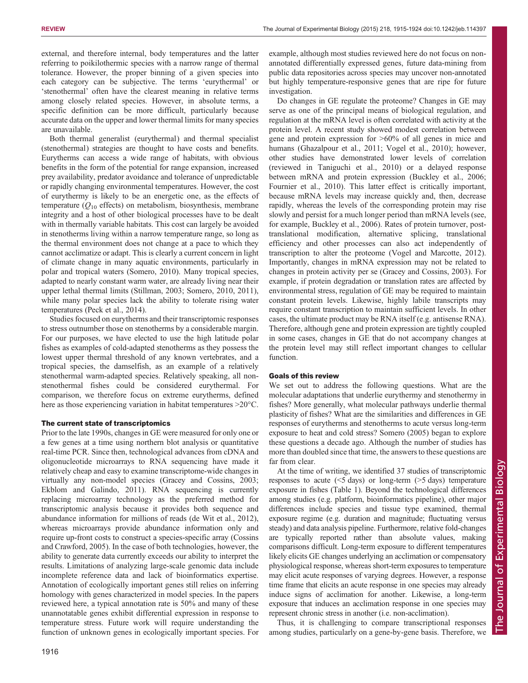external, and therefore internal, body temperatures and the latter referring to poikilothermic species with a narrow range of thermal tolerance. However, the proper binning of a given species into each category can be subjective. The terms 'eurythermal' or 'stenothermal' often have the clearest meaning in relative terms among closely related species. However, in absolute terms, a specific definition can be more difficult, particularly because accurate data on the upper and lower thermal limits for many species are unavailable.

Both thermal generalist (eurythermal) and thermal specialist (stenothermal) strategies are thought to have costs and benefits. Eurytherms can access a wide range of habitats, with obvious benefits in the form of the potential for range expansion, increased prey availability, predator avoidance and tolerance of unpredictable or rapidly changing environmental temperatures. However, the cost of eurythermy is likely to be an energetic one, as the effects of temperature  $(Q_{10}$  effects) on metabolism, biosynthesis, membrane integrity and a host of other biological processes have to be dealt with in thermally variable habitats. This cost can largely be avoided in stenotherms living within a narrow temperature range, so long as the thermal environment does not change at a pace to which they cannot acclimatize or adapt. This is clearly a current concern in light of climate change in many aquatic environments, particularly in polar and tropical waters [\(Somero, 2010](#page-9-0)). Many tropical species, adapted to nearly constant warm water, are already living near their upper lethal thermal limits [\(Stillman, 2003](#page-9-0); [Somero, 2010, 2011\)](#page-9-0), while many polar species lack the ability to tolerate rising water temperatures ([Peck et al., 2014\)](#page-8-0).

Studies focused on eurytherms and their transcriptomic responses to stress outnumber those on stenotherms by a considerable margin. For our purposes, we have elected to use the high latitude polar fishes as examples of cold-adapted stenotherms as they possess the lowest upper thermal threshold of any known vertebrates, and a tropical species, the damselfish, as an example of a relatively stenothermal warm-adapted species. Relatively speaking, all nonstenothermal fishes could be considered eurythermal. For comparison, we therefore focus on extreme eurytherms, defined here as those experiencing variation in habitat temperatures  $>20^{\circ}$ C.

#### The current state of transcriptomics

Prior to the late 1990s, changes in GE were measured for only one or a few genes at a time using northern blot analysis or quantitative real-time PCR. Since then, technological advances from cDNA and oligonucleotide microarrays to RNA sequencing have made it relatively cheap and easy to examine transcriptome-wide changes in virtually any non-model species ([Gracey and Cossins, 2003](#page-8-0); [Ekblom and Galindo, 2011](#page-7-0)). RNA sequencing is currently replacing microarray technology as the preferred method for transcriptomic analysis because it provides both sequence and abundance information for millions of reads ([de Wit et al., 2012\)](#page-7-0), whereas microarrays provide abundance information only and require up-front costs to construct a species-specific array ([Cossins](#page-7-0) [and Crawford, 2005\)](#page-7-0). In the case of both technologies, however, the ability to generate data currently exceeds our ability to interpret the results. Limitations of analyzing large-scale genomic data include incomplete reference data and lack of bioinformatics expertise. Annotation of ecologically important genes still relies on inferring homology with genes characterized in model species. In the papers reviewed here, a typical annotation rate is 50% and many of these unannotatable genes exhibit differential expression in response to temperature stress. Future work will require understanding the function of unknown genes in ecologically important species. For

example, although most studies reviewed here do not focus on nonannotated differentially expressed genes, future data-mining from public data repositories across species may uncover non-annotated but highly temperature-responsive genes that are ripe for future investigation.

Do changes in GE regulate the proteome? Changes in GE may serve as one of the principal means of biological regulation, and regulation at the mRNA level is often correlated with activity at the protein level. A recent study showed modest correlation between gene and protein expression for >60% of all genes in mice and humans [\(Ghazalpour et al., 2011](#page-8-0); [Vogel et al., 2010](#page-9-0)); however, other studies have demonstrated lower levels of correlation (reviewed in [Taniguchi et al., 2010\)](#page-9-0) or a delayed response between mRNA and protein expression [\(Buckley et al., 2006](#page-7-0); [Fournier et al., 2010](#page-8-0)). This latter effect is critically important, because mRNA levels may increase quickly and, then, decrease rapidly, whereas the levels of the corresponding protein may rise slowly and persist for a much longer period than mRNA levels (see, for example, [Buckley et al., 2006](#page-7-0)). Rates of protein turnover, posttranslational modification, alternative splicing, translational efficiency and other processes can also act independently of transcription to alter the proteome [\(Vogel and Marcotte, 2012\)](#page-9-0). Importantly, changes in mRNA expression may not be related to changes in protein activity per se ([Gracey and Cossins, 2003\)](#page-8-0). For example, if protein degradation or translation rates are affected by environmental stress, regulation of GE may be required to maintain constant protein levels. Likewise, highly labile transcripts may require constant transcription to maintain sufficient levels. In other cases, the ultimate product may be RNA itself (e.g. antisense RNA). Therefore, although gene and protein expression are tightly coupled in some cases, changes in GE that do not accompany changes at the protein level may still reflect important changes to cellular function.

## Goals of this review

We set out to address the following questions. What are the molecular adaptations that underlie eurythermy and stenothermy in fishes? More generally, what molecular pathways underlie thermal plasticity of fishes? What are the similarities and differences in GE responses of eurytherms and stenotherms to acute versus long-term exposure to heat and cold stress? [Somero \(2005](#page-9-0)) began to explore these questions a decade ago. Although the number of studies has more than doubled since that time, the answers to these questions are far from clear.

At the time of writing, we identified 37 studies of transcriptomic responses to acute  $(\leq 5 \text{ days})$  or long-term  $(>5 \text{ days})$  temperature exposure in fishes [\(Table 1](#page-2-0)). Beyond the technological differences among studies (e.g. platform, bioinformatics pipeline), other major differences include species and tissue type examined, thermal exposure regime (e.g. duration and magnitude; fluctuating versus steady) and data analysis pipeline. Furthermore, relative fold-changes are typically reported rather than absolute values, making comparisons difficult. Long-term exposure to different temperatures likely elicits GE changes underlying an acclimation or compensatory physiological response, whereas short-term exposures to temperature may elicit acute responses of varying degrees. However, a response time frame that elicits an acute response in one species may already induce signs of acclimation for another. Likewise, a long-term exposure that induces an acclimation response in one species may represent chronic stress in another (i.e. non-acclimation).

Thus, it is challenging to compare transcriptional responses among studies, particularly on a gene-by-gene basis. Therefore, we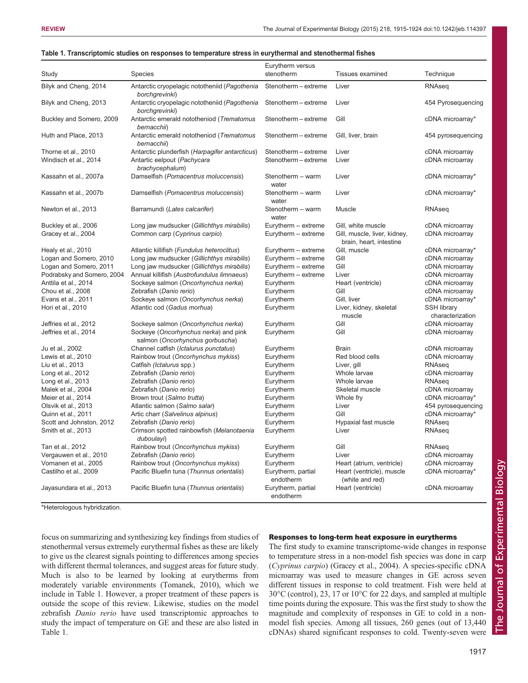#### <span id="page-2-0"></span>Table 1. Transcriptomic studies on responses to temperature stress in eurythermal and stenothermal fishes

|                            |                                                                          | Eurytherm versus                |                                                         |                                        |
|----------------------------|--------------------------------------------------------------------------|---------------------------------|---------------------------------------------------------|----------------------------------------|
| Study                      | <b>Species</b>                                                           | stenotherm                      | Tissues examined                                        | Technique                              |
| Bilyk and Cheng, 2014      | Antarctic cryopelagic nototheniid (Pagothenia<br>borchgrevinki)          | Stenotherm - extreme            | Liver                                                   | RNAseg                                 |
| Bilyk and Cheng, 2013      | Antarctic cryopelagic nototheniid (Pagothenia<br>borchgrevinki)          | Stenotherm - extreme            | Liver                                                   | 454 Pyroseguencing                     |
| Buckley and Somero, 2009   | Antarctic emerald nototheniod (Trematomus<br>bernacchii)                 | Stenotherm-extreme              | Gill                                                    | cDNA microarray*                       |
| Huth and Place, 2013       | Antarctic emerald nototheniod (Trematomus<br>bernacchii)                 | Stenotherm - extreme            | Gill, liver, brain                                      | 454 pyrosequencing                     |
| Thorne et al., 2010        | Antarctic plunderfish (Harpagifer antarcticus)                           | Stenotherm - extreme            | Liver                                                   | cDNA microarray                        |
| Windisch et al., 2014      | Antartic eelpout (Pachycara<br>brachycephalum)                           | Stenotherm - extreme            | Liver                                                   | cDNA microarray                        |
| Kassahn et al., 2007a      | Damselfish (Pomacentrus moluccensis)                                     | Stenotherm - warm<br>water      | Liver                                                   | cDNA microarray*                       |
| Kassahn et al., 2007b      | Damselfish (Pomacentrus moluccensis)                                     | Stenotherm - warm<br>water      | Liver                                                   | cDNA microarray*                       |
| Newton et al., 2013        | Barramundi (Lates calcarifer)                                            | Stenotherm - warm<br>water      | Muscle                                                  | RNAseg                                 |
| Buckley et al., 2006       | Long jaw mudsucker (Gillichthys mirabilis)                               | Eurytherm - extreme             | Gill, white muscle                                      | cDNA microarray                        |
| Gracey et al., 2004        | Common carp (Cyprinus carpio)                                            | Eurytherm - extreme             | Gill, muscle, liver, kidney,<br>brain, heart, intestine | cDNA microarray                        |
| Healy et al., 2010         | Atlantic killifish (Fundulus heteroclitus)                               | Eurytherm - extreme             | Gill, muscle                                            | cDNA microarray*                       |
| Logan and Somero, 2010     | Long jaw mudsucker (Gillichthys mirabilis)                               | Eurytherm - extreme             | Gill                                                    | cDNA microarray                        |
| Logan and Somero, 2011     | Long jaw mudsucker (Gillichthys mirabilis)                               | Eurytherm - extreme             | Gill                                                    | cDNA microarray                        |
| Podrabsky and Somero, 2004 | Annual killifish (Austrofundulus limnaeus)                               | Eurytherm - extreme             | Liver                                                   | cDNA microarray                        |
| Anttila et al., 2014       | Sockeye salmon (Oncorhynchus nerka)                                      | Eurytherm                       | Heart (ventricle)                                       | cDNA microarray                        |
| Chou et al., 2008          | Zebrafish (Danio rerio)                                                  | Eurytherm                       | Gill                                                    | cDNA microarray                        |
| Evans et al., 2011         | Sockeye salmon (Oncorhynchus nerka)                                      | Eurytherm                       | Gill, liver                                             | cDNA microarray*                       |
| Hori et al., 2010          | Atlantic cod (Gadus morhua)                                              | Eurytherm                       | Liver, kidney, skeletal<br>muscle                       | <b>SSH library</b><br>characterization |
| Jeffries et al., 2012      | Sockeye salmon (Oncorhynchus nerka)                                      | Eurytherm                       | Gill                                                    | cDNA microarray                        |
| Jeffries et al., 2014      | Sockeye (Oncorhynchus nerka) and pink<br>salmon (Oncorhynchus gorbuscha) | Eurytherm                       | Gill                                                    | cDNA microarray                        |
| Ju et al., 2002            | Channel catfish (Ictalurus punctatus)                                    | Eurytherm                       | <b>Brain</b>                                            | cDNA microarray                        |
| Lewis et al., 2010         | Rainbow trout (Oncorhynchus mykiss)                                      | Eurytherm                       | Red blood cells                                         | cDNA microarray                        |
| Liu et al., 2013           | Catfish (Ictalurus spp.)                                                 | Eurytherm                       | Liver, gill                                             | RNAseq                                 |
| Long et al., 2012          | Zebrafish (Danio rerio)                                                  | Eurytherm                       | Whole larvae                                            | cDNA microarray                        |
| Long et al., 2013          | Zebrafish (Danio rerio)                                                  | Eurytherm                       | Whole larvae                                            | RNAseg                                 |
| Malek et al., 2004         | Zebrafish (Danio rerio)                                                  | Eurytherm                       | Skeletal muscle                                         | cDNA microarray                        |
| Meier et al., 2014         | Brown trout (Salmo trutta)                                               | Eurytherm                       | Whole fry                                               | cDNA microarray*                       |
| Olsvik et al., 2013        | Atlantic salmon (Salmo salar)                                            | Eurytherm                       | Liver                                                   | 454 pyrosequencing                     |
| Quinn et al., 2011         | Artic charr (Salvelinus alpinus)                                         | Eurytherm                       | Gill                                                    | cDNA microarray*                       |
| Scott and Johnston, 2012   | Zebrafish (Danio rerio)                                                  | Eurytherm                       | Hypaxial fast muscle                                    | RNAseq                                 |
| Smith et al., 2013         | Crimson spotted rainbowfish (Melanotaenia<br>duboulayi)                  | Eurytherm                       | Liver                                                   | RNAseg                                 |
| Tan et al., 2012           | Rainbow trout (Oncorhynchus mykiss)                                      | Eurytherm                       | Gill                                                    | RNAseq                                 |
| Vergauwen et al., 2010     | Zebrafish (Danio rerio)                                                  | Eurytherm                       | Liver                                                   | cDNA microarray                        |
| Vornanen et al., 2005      | Rainbow trout (Oncorhynchus mykiss)                                      | Eurytherm                       | Heart (atrium, ventricle)                               | cDNA microarray                        |
| Castilho et al., 2009      | Pacific Bluefin tuna (Thunnus orientalis)                                | Eurytherm, partial<br>endotherm | Heart (ventricle), muscle<br>(white and red)            | cDNA microarray*                       |
| Jayasundara et al., 2013   | Pacific Bluefin tuna (Thunnus orientalis)                                | Eurytherm, partial<br>endotherm | Heart (ventricle)                                       | cDNA microarray                        |

\*Heterologous hybridization.

focus on summarizing and synthesizing key findings from studies of stenothermal versus extremely eurythermal fishes as these are likely to give us the clearest signals pointing to differences among species with different thermal tolerances, and suggest areas for future study. Much is also to be learned by looking at eurytherms from moderately variable environments [\(Tomanek, 2010\)](#page-9-0), which we include in Table 1. However, a proper treatment of these papers is outside the scope of this review. Likewise, studies on the model zebrafish Danio rerio have used transcriptomic approaches to study the impact of temperature on GE and these are also listed in Table 1.

## Responses to long-term heat exposure in eurytherms

The first study to examine transcriptome-wide changes in response to temperature stress in a non-model fish species was done in carp (Cyprinus carpio) [\(Gracey et al., 2004\)](#page-8-0). A species-specific cDNA microarray was used to measure changes in GE across seven different tissues in response to cold treatment. Fish were held at 30°C (control), 23, 17 or 10°C for 22 days, and sampled at multiple time points during the exposure. This was the first study to show the magnitude and complexity of responses in GE to cold in a nonmodel fish species. Among all tissues, 260 genes (out of 13,440 cDNAs) shared significant responses to cold. Twenty-seven were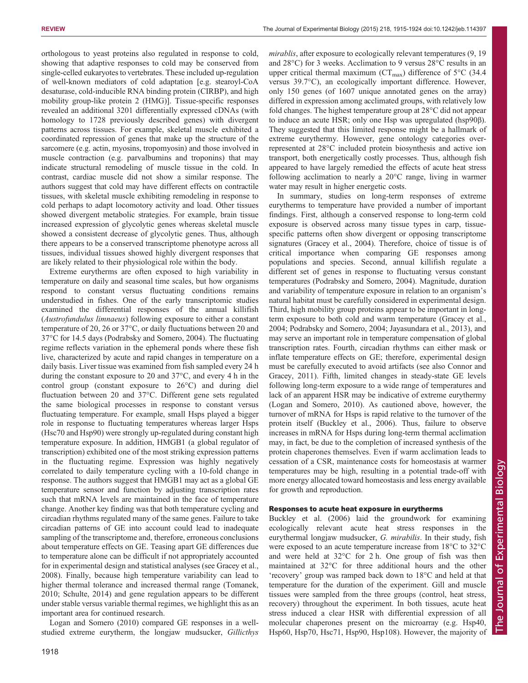orthologous to yeast proteins also regulated in response to cold, showing that adaptive responses to cold may be conserved from single-celled eukaryotes to vertebrates. These included up-regulation of well-known mediators of cold adaptation [e.g. stearoyl-CoA desaturase, cold-inducible RNA binding protein (CIRBP), and high mobility group-like protein 2 (HMG)]. Tissue-specific responses revealed an additional 3201 differentially expressed cDNAs (with homology to 1728 previously described genes) with divergent patterns across tissues. For example, skeletal muscle exhibited a coordinated repression of genes that make up the structure of the sarcomere (e.g. actin, myosins, tropomyosin) and those involved in muscle contraction (e.g. parvalbumins and troponins) that may indicate structural remodeling of muscle tissue in the cold. In contrast, cardiac muscle did not show a similar response. The authors suggest that cold may have different effects on contractile tissues, with skeletal muscle exhibiting remodeling in response to cold perhaps to adapt locomotory activity and load. Other tissues showed divergent metabolic strategies. For example, brain tissue increased expression of glycolytic genes whereas skeletal muscle showed a consistent decrease of glycolytic genes. Thus, although there appears to be a conserved transcriptome phenotype across all tissues, individual tissues showed highly divergent responses that are likely related to their physiological role within the body.

Extreme eurytherms are often exposed to high variability in temperature on daily and seasonal time scales, but how organisms respond to constant versus fluctuating conditions remains understudied in fishes. One of the early transcriptomic studies examined the differential responses of the annual killifish (Austrofundulus limnaeus) following exposure to either a constant temperature of 20, 26 or 37°C, or daily fluctuations between 20 and 37°C for 14.5 days [\(Podrabsky and Somero, 2004\)](#page-8-0). The fluctuating regime reflects variation in the ephemeral ponds where these fish live, characterized by acute and rapid changes in temperature on a daily basis. Liver tissue was examined from fish sampled every 24 h during the constant exposure to 20 and 37°C, and every 4 h in the control group (constant exposure to 26°C) and during diel fluctuation between 20 and 37°C. Different gene sets regulated the same biological processes in response to constant versus fluctuating temperature. For example, small Hsps played a bigger role in response to fluctuating temperatures whereas larger Hsps (Hsc70 and Hsp90) were strongly up-regulated during constant high temperature exposure. In addition, HMGB1 (a global regulator of transcription) exhibited one of the most striking expression patterns in the fluctuating regime. Expression was highly negatively correlated to daily temperature cycling with a 10-fold change in response. The authors suggest that HMGB1 may act as a global GE temperature sensor and function by adjusting transcription rates such that mRNA levels are maintained in the face of temperature change. Another key finding was that both temperature cycling and circadian rhythms regulated many of the same genes. Failure to take circadian patterns of GE into account could lead to inadequate sampling of the transcriptome and, therefore, erroneous conclusions about temperature effects on GE. Teasing apart GE differences due to temperature alone can be difficult if not appropriately accounted for in experimental design and statistical analyses (see [Gracey et al.,](#page-8-0) [2008](#page-8-0)). Finally, because high temperature variability can lead to higher thermal tolerance and increased thermal range [\(Tomanek,](#page-9-0) [2010](#page-9-0); [Schulte, 2014](#page-8-0)) and gene regulation appears to be different under stable versus variable thermal regimes, we highlight this as an important area for continued research.

[Logan and Somero \(2010\)](#page-8-0) compared GE responses in a wellstudied extreme eurytherm, the longjaw mudsucker, Gillicthys mirablis, after exposure to ecologically relevant temperatures  $(9, 19)$ and 28°C) for 3 weeks. Acclimation to 9 versus 28°C results in an upper critical thermal maximum ( $CT_{\text{max}}$ ) difference of 5°C (34.4) versus 39.7°C), an ecologically important difference. However, only 150 genes (of 1607 unique annotated genes on the array) differed in expression among acclimated groups, with relatively low fold changes. The highest temperature group at 28°C did not appear to induce an acute HSR; only one Hsp was upregulated (hsp90β). They suggested that this limited response might be a hallmark of extreme eurythermy. However, gene ontology categories overrepresented at 28°C included protein biosynthesis and active ion transport, both energetically costly processes. Thus, although fish appeared to have largely remedied the effects of acute heat stress following acclimation to nearly a 20°C range, living in warmer water may result in higher energetic costs.

In summary, studies on long-term responses of extreme eurytherms to temperature have provided a number of important findings. First, although a conserved response to long-term cold exposure is observed across many tissue types in carp, tissuespecific patterns often show divergent or opposing transcriptome signatures [\(Gracey et al., 2004\)](#page-8-0). Therefore, choice of tissue is of critical importance when comparing GE responses among populations and species. Second, annual killifish regulate a different set of genes in response to fluctuating versus constant temperatures ([Podrabsky and Somero, 2004](#page-8-0)). Magnitude, duration and variability of temperature exposure in relation to an organism's natural habitat must be carefully considered in experimental design. Third, high mobility group proteins appear to be important in longterm exposure to both cold and warm temperature ([Gracey et al.,](#page-8-0) [2004; Podrabsky and Somero, 2004](#page-8-0); [Jayasundara et al., 2013](#page-8-0)), and may serve an important role in temperature compensation of global transcription rates. Fourth, circadian rhythms can either mask or inflate temperature effects on GE; therefore, experimental design must be carefully executed to avoid artifacts (see also [Connor and](#page-7-0) [Gracey, 2011](#page-7-0)). Fifth, limited changes in steady-state GE levels following long-term exposure to a wide range of temperatures and lack of an apparent HSR may be indicative of extreme eurythermy [\(Logan and Somero, 2010\)](#page-8-0). As cautioned above, however, the turnover of mRNA for Hsps is rapid relative to the turnover of the protein itself ([Buckley et al., 2006](#page-7-0)). Thus, failure to observe increases in mRNA for Hsps during long-term thermal acclimation may, in fact, be due to the completion of increased synthesis of the protein chaperones themselves. Even if warm acclimation leads to cessation of a CSR, maintenance costs for homeostasis at warmer temperatures may be high, resulting in a potential trade-off with more energy allocated toward homeostasis and less energy available for growth and reproduction.

## Responses to acute heat exposure in eurytherms

[Buckley et al. \(2006\)](#page-7-0) laid the groundwork for examining ecologically relevant acute heat stress responses in the eurythermal longjaw mudsucker, G. mirabilis. In their study, fish were exposed to an acute temperature increase from 18°C to 32°C and were held at 32°C for 2 h. One group of fish was then maintained at 32°C for three additional hours and the other 'recovery' group was ramped back down to 18°C and held at that temperature for the duration of the experiment. Gill and muscle tissues were sampled from the three groups (control, heat stress, recovery) throughout the experiment. In both tissues, acute heat stress induced a clear HSR with differential expression of all molecular chaperones present on the microarray (e.g. Hsp40, Hsp60, Hsp70, Hsc71, Hsp90, Hsp108). However, the majority of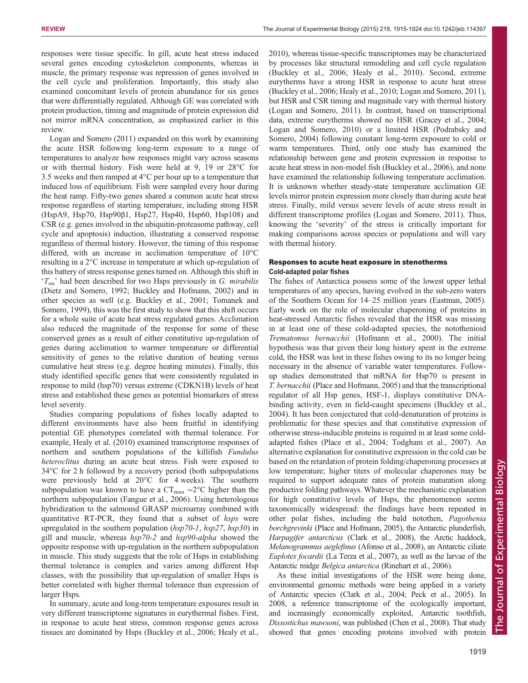responses were tissue specific. In gill, acute heat stress induced several genes encoding cytoskeleton components, whereas in muscle, the primary response was repression of genes involved in the cell cycle and proliferation. Importantly, this study also examined concomitant levels of protein abundance for six genes that were differentially regulated. Although GE was correlated with protein production, timing and magnitude of protein expression did not mirror mRNA concentration, as emphasized earlier in this review.

[Logan and Somero \(2011\)](#page-8-0) expanded on this work by examining the acute HSR following long-term exposure to a range of temperatures to analyze how responses might vary across seasons or with thermal history. Fish were held at 9, 19 or 28°C for 3.5 weeks and then ramped at 4°C per hour up to a temperature that induced loss of equilibrium. Fish were sampled every hour during the heat ramp. Fifty-two genes shared a common acute heat stress response regardless of starting temperature, including strong HSR (HspA9, Hsp70, Hsp90β1, Hsp27, Hsp40, Hsp60, Hsp108) and CSR (e.g. genes involved in the ubiquitin-proteasome pathway, cell cycle and apoptosis) induction, illustrating a conserved response regardless of thermal history. However, the timing of this response differed, with an increase in acclimation temperature of 10°C resulting in a 2°C increase in temperature at which up-regulation of this battery of stress response genes turned on. Although this shift in  $T_{\text{on}}$ ' had been described for two Hsps previously in G. mirabilis [\(Dietz and Somero, 1992; Buckley and Hofmann, 2002\)](#page-7-0) and in other species as well (e.g. [Buckley et al., 2001](#page-7-0); [Tomanek and](#page-9-0) [Somero, 1999\)](#page-9-0), this was the first study to show that this shift occurs for a whole suite of acute heat stress regulated genes. Acclimation also reduced the magnitude of the response for some of these conserved genes as a result of either constitutive up-regulation of genes during acclimation to warmer temperature or differential sensitivity of genes to the relative duration of heating versus cumulative heat stress (e.g. degree heating minutes). Finally, this study identified specific genes that were consistently regulated in response to mild (hsp70) versus extreme (CDKN1B) levels of heat stress and established these genes as potential biomarkers of stress level severity.

Studies comparing populations of fishes locally adapted to different environments have also been fruitful in identifying potential GE phenotypes correlated with thermal tolerance. For example, [Healy et al. \(2010\)](#page-8-0) examined transcriptome responses of northern and southern populations of the killifish Fundulus heteroclitus during an acute heat stress. Fish were exposed to 34°C for 2 h followed by a recovery period (both subpopulations were previously held at 20°C for 4 weeks). The southern subpopulation was known to have a  $CT_{\text{max}} \sim 2^{\circ}C$  higher than the northern subpopulation ([Fangue et al., 2006](#page-7-0)). Using heterologous hybridization to the salmonid GRASP microarray combined with quantitative RT-PCR, they found that a subset of hsps were upregulated in the southern population  $(hsp70-1, hsp27, hsp30)$  in gill and muscle, whereas hsp70-2 and hsp90-alpha showed the opposite response with up-regulation in the northern subpopulation in muscle. This study suggests that the role of Hsps in establishing thermal tolerance is complex and varies among different Hsp classes, with the possibility that up-regulation of smaller Hsps is better correlated with higher thermal tolerance than expression of larger Hsps.

In summary, acute and long-term temperature exposures result in very different transcriptome signatures in eurythermal fishes. First, in response to acute heat stress, common response genes across tissues are dominated by Hsps [\(Buckley et al., 2006;](#page-7-0) [Healy et al.,](#page-8-0) [2010\)](#page-8-0), whereas tissue-specific transcriptomes may be characterized by processes like structural remodeling and cell cycle regulation [\(Buckley et al., 2006](#page-7-0); [Healy et al., 2010\)](#page-8-0). Second, extreme eurytherms have a strong HSR in response to acute heat stress [\(Buckley et al., 2006](#page-7-0); [Healy et al., 2010; Logan and Somero, 2011\)](#page-8-0), but HSR and CSR timing and magnitude vary with thermal history [\(Logan and Somero, 2011\)](#page-8-0). In contrast, based on transcriptional data, extreme eurytherms showed no HSR ([Gracey et al., 2004](#page-8-0); [Logan and Somero, 2010](#page-8-0)) or a limited HSR ([Podrabsky and](#page-8-0) [Somero, 2004](#page-8-0)) following constant long-term exposure to cold or warm temperatures. Third, only one study has examined the relationship between gene and protein expression in response to acute heat stress in non-model fish ([Buckley et al., 2006\)](#page-7-0), and none have examined the relationship following temperature acclimation. It is unknown whether steady-state temperature acclimation GE levels mirror protein expression more closely than during acute heat stress. Finally, mild versus severe levels of acute stress result in different transcriptome profiles [\(Logan and Somero, 2011](#page-8-0)). Thus, knowing the 'severity' of the stress is critically important for making comparisons across species or populations and will vary with thermal history.

## Responses to acute heat exposure in stenotherms Cold-adapted polar fishes

The fishes of Antarctica possess some of the lowest upper lethal temperatures of any species, having evolved in the sub-zero waters of the Southern Ocean for 14–25 million years ([Eastman, 2005\)](#page-7-0). Early work on the role of molecular chaperoning of proteins in heat-stressed Antarctic fishes revealed that the HSR was missing in at least one of these cold-adapted species, the notothenioid Trematomus bernacchii ([Hofmann et al., 2000\)](#page-8-0). The initial hypothesis was that given their long history spent in the extreme cold, the HSR was lost in these fishes owing to its no longer being necessary in the absence of variable water temperatures. Followup studies demonstrated that mRNA for Hsp70 is present in T. bernacchii [\(Place and Hofmann, 2005\)](#page-8-0) and that the transcriptional regulator of all Hsp genes, HSF-1, displays constitutive DNAbinding activity, even in field-caught specimens ([Buckley et al.,](#page-7-0) [2004\)](#page-7-0). It has been conjectured that cold-denaturation of proteins is problematic for these species and that constitutive expression of otherwise stress-inducible proteins is required in at least some coldadapted fishes ([Place et al., 2004](#page-8-0); [Todgham et al., 2007](#page-9-0)). An alternative explanation for constitutive expression in the cold can be based on the retardation of protein folding/chaperoning processes at low temperature; higher titers of molecular chaperones may be required to support adequate rates of protein maturation along productive folding pathways. Whatever the mechanistic explanation for high constitutive levels of Hsps, the phenomenon seems taxonomically widespread: the findings have been repeated in other polar fishes, including the bald notothen, Pagothenia borchgrevinki [\(Place and Hofmann, 2005\)](#page-8-0), the Antarctic plunderfish, Harpagifer antarcticus [\(Clark et al., 2008\)](#page-7-0), the Arctic haddock, Melanogrammus aeglefinus [\(Afonso et al., 2008](#page-7-0)), an Antarctic ciliate Euplotes focardii [\(La Terza et al., 2007\)](#page-8-0), as well as the larvae of the Antarctic midge Belgica antarctica [\(Rinehart et al., 2006\)](#page-8-0).

As these initial investigations of the HSR were being done, environmental genomic methods were being applied in a variety of Antarctic species ([Clark et al., 2004](#page-7-0); [Peck et al., 2005\)](#page-8-0). In 2008, a reference transcriptome of the ecologically important, and increasingly economically exploited, Antarctic toothfish, Dissostichus mawsoni, was published ([Chen et al., 2008\)](#page-7-0). That study showed that genes encoding proteins involved with protein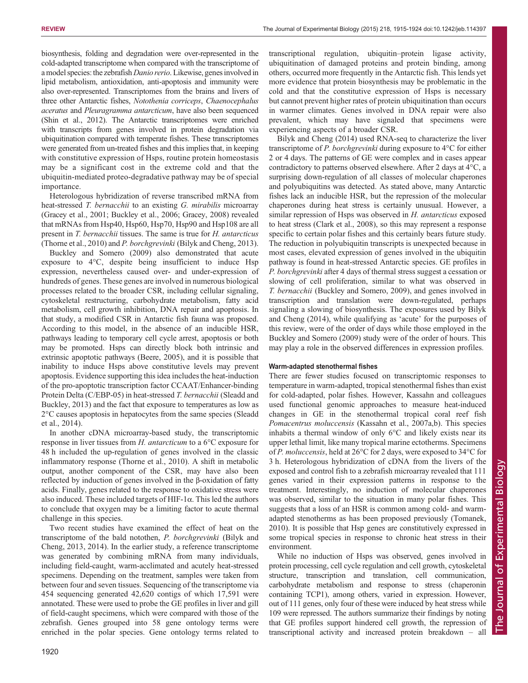biosynthesis, folding and degradation were over-represented in the cold-adapted transcriptome when compared with the transcriptome of a model species: the zebrafish Danio rerio. Likewise, genes involved in lipid metabolism, antioxidation, anti-apoptosis and immunity were also over-represented. Transcriptomes from the brains and livers of three other Antarctic fishes, Notothenia corriceps, Chaenocephalus aceratus and Pleuragramma antarcticum, have also been sequenced [\(Shin et al., 2012](#page-8-0)). The Antarctic transcriptomes were enriched with transcripts from genes involved in protein degradation via ubiquitination compared with temperate fishes. These transcriptomes were generated from un-treated fishes and this implies that, in keeping with constitutive expression of Hsps, routine protein homeostasis may be a significant cost in the extreme cold and that the ubiquitin-mediated proteo-degradative pathway may be of special importance.

Heterologous hybridization of reverse transcribed mRNA from heat-stressed T. bernacchii to an existing G. mirabilis microarray [\(Gracey et al., 2001;](#page-8-0) [Buckley et al., 2006](#page-7-0); [Gracey, 2008\)](#page-8-0) revealed that mRNAs from Hsp40, Hsp60, Hsp70, Hsp90 and Hsp108 are all present in T. bernacchii tissues. The same is true for H. antarcticus [\(Thorne et al., 2010\)](#page-9-0) and P. borchgrevinki [\(Bilyk and Cheng, 2013\)](#page-7-0).

[Buckley and Somero \(2009\)](#page-7-0) also demonstrated that acute exposure to 4°C, despite being insufficient to induce Hsp expression, nevertheless caused over- and under-expression of hundreds of genes. These genes are involved in numerous biological processes related to the broader CSR, including cellular signaling, cytoskeletal restructuring, carbohydrate metabolism, fatty acid metabolism, cell growth inhibition, DNA repair and apoptosis. In that study, a modified CSR in Antarctic fish fauna was proposed. According to this model, in the absence of an inducible HSR, pathways leading to temporary cell cycle arrest, apoptosis or both may be promoted. Hsps can directly block both intrinsic and extrinsic apoptotic pathways ([Beere, 2005\)](#page-7-0), and it is possible that inability to induce Hsps above constitutive levels may prevent apoptosis. Evidence supporting this idea includes the heat-induction of the pro-apoptotic transcription factor CCAAT/Enhancer-binding Protein Delta (C/EBP-05) in heat-stressed T. bernacchii ([Sleadd and](#page-8-0) [Buckley, 2013\)](#page-8-0) and the fact that exposure to temperatures as low as 2°C causes apoptosis in hepatocytes from the same species [\(Sleadd](#page-8-0) [et al., 2014\)](#page-8-0).

In another cDNA microarray-based study, the transcriptomic response in liver tissues from  $H$ . antarcticum to a 6 $\rm{^{\circ}C}$  exposure for 48 h included the up-regulation of genes involved in the classic inflammatory response ([Thorne et al., 2010\)](#page-9-0). A shift in metabolic output, another component of the CSR, may have also been reflected by induction of genes involved in the β-oxidation of fatty acids. Finally, genes related to the response to oxidative stress were also induced. These included targets of HIF-1 $\alpha$ . This led the authors to conclude that oxygen may be a limiting factor to acute thermal challenge in this species.

Two recent studies have examined the effect of heat on the transcriptome of the bald notothen, P. borchgrevinki [\(Bilyk and](#page-7-0) [Cheng, 2013, 2014\)](#page-7-0). In the earlier study, a reference transcriptome was generated by combining mRNA from many individuals, including field-caught, warm-acclimated and acutely heat-stressed specimens. Depending on the treatment, samples were taken from between four and seven tissues. Sequencing of the transcriptome via 454 sequencing generated 42,620 contigs of which 17,591 were annotated. These were used to probe the GE profiles in liver and gill of field-caught specimens, which were compared with those of the zebrafish. Genes grouped into 58 gene ontology terms were enriched in the polar species. Gene ontology terms related to

transcriptional regulation, ubiquitin–protein ligase activity, ubiquitination of damaged proteins and protein binding, among others, occurred more frequently in the Antarctic fish. This lends yet more evidence that protein biosynthesis may be problematic in the cold and that the constitutive expression of Hsps is necessary but cannot prevent higher rates of protein ubiquitination than occurs in warmer climates. Genes involved in DNA repair were also prevalent, which may have signaled that specimens were experiencing aspects of a broader CSR.

[Bilyk and Cheng \(2014\)](#page-7-0) used RNA-seq to characterize the liver transcriptome of P. borchgrevinki during exposure to 4°C for either 2 or 4 days. The patterns of GE were complex and in cases appear contradictory to patterns observed elsewhere. After 2 days at 4°C, a surprising down-regulation of all classes of molecular chaperones and polyubiquitins was detected. As stated above, many Antarctic fishes lack an inducible HSR, but the repression of the molecular chaperones during heat stress is certainly unusual. However, a similar repression of Hsps was observed in H. antarcticus exposed to heat stress ([Clark et al., 2008\)](#page-7-0), so this may represent a response specific to certain polar fishes and this certainly bears future study. The reduction in polyubiquitin transcripts is unexpected because in most cases, elevated expression of genes involved in the ubiquitin pathway is found in heat-stressed Antarctic species. GE profiles in P. borchgrevinki after 4 days of thermal stress suggest a cessation or slowing of cell proliferation, similar to what was observed in T. bernacchii [\(Buckley and Somero, 2009](#page-7-0)), and genes involved in transcription and translation were down-regulated, perhaps signaling a slowing of biosynthesis. The exposures used by [Bilyk](#page-7-0) [and Cheng \(2014\)](#page-7-0), while qualifying as 'acute' for the purposes of this review, were of the order of days while those employed in the [Buckley and Somero \(2009\)](#page-7-0) study were of the order of hours. This may play a role in the observed differences in expression profiles.

#### Warm-adapted stenothermal fishes

There are fewer studies focused on transcriptomic responses to temperature in warm-adapted, tropical stenothermal fishes than exist for cold-adapted, polar fishes. However, Kassahn and colleagues used functional genomic approaches to measure heat-induced changes in GE in the stenothermal tropical coral reef fish Pomacentrus moluccensis [\(Kassahn et al., 2007a,b\)](#page-8-0). This species inhabits a thermal window of only 6°C and likely exists near its upper lethal limit, like many tropical marine ectotherms. Specimens of P. moluccensis, held at 26°C for 2 days, were exposed to 34°C for 3 h. Heterologous hybridization of cDNA from the livers of the exposed and control fish to a zebrafish microarray revealed that 111 genes varied in their expression patterns in response to the treatment. Interestingly, no induction of molecular chaperones was observed, similar to the situation in many polar fishes. This suggests that a loss of an HSR is common among cold- and warmadapted stenotherms as has been proposed previously [\(Tomanek,](#page-9-0) [2010\)](#page-9-0). It is possible that Hsp genes are constitutively expressed in some tropical species in response to chronic heat stress in their environment.

While no induction of Hsps was observed, genes involved in protein processing, cell cycle regulation and cell growth, cytoskeletal structure, transcription and translation, cell communication, carbohydrate metabolism and response to stress (chaperonin containing TCP1), among others, varied in expression. However, out of 111 genes, only four of these were induced by heat stress while 109 were repressed. The authors summarize their findings by noting that GE profiles support hindered cell growth, the repression of transcriptional activity and increased protein breakdown – all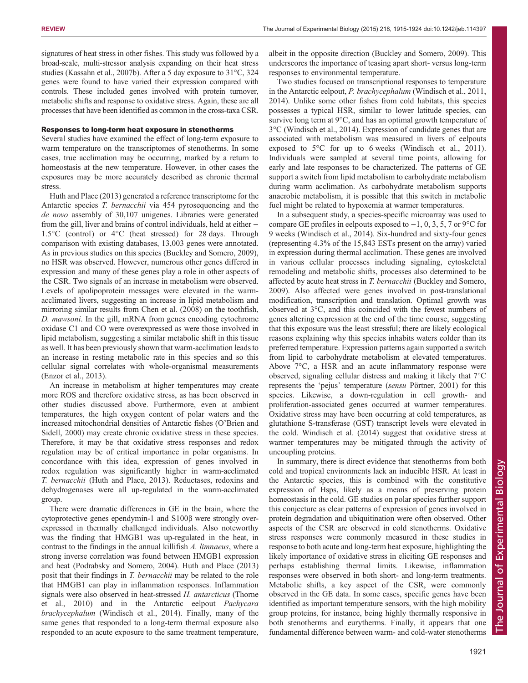signatures of heat stress in other fishes. This study was followed by a broad-scale, multi-stressor analysis expanding on their heat stress studies ([Kassahn et al., 2007b\)](#page-8-0). After a 5 day exposure to 31°C, 324 genes were found to have varied their expression compared with controls. These included genes involved with protein turnover, metabolic shifts and response to oxidative stress. Again, these are all processes that have been identified as common in the cross-taxa CSR.

#### Responses to long-term heat exposure in stenotherms

Several studies have examined the effect of long-term exposure to warm temperature on the transcriptomes of stenotherms. In some cases, true acclimation may be occurring, marked by a return to homeostasis at the new temperature. However, in other cases the exposures may be more accurately described as chronic thermal stress.

[Huth and Place \(2013\)](#page-8-0) generated a reference transcriptome for the Antarctic species T. bernacchii via 454 pyrosequencing and the de novo assembly of 30,107 unigenes. Libraries were generated from the gill, liver and brains of control individuals, held at either − 1.5°C (control) or 4°C (heat stressed) for 28 days. Through comparison with existing databases, 13,003 genes were annotated. As in previous studies on this species ([Buckley and Somero, 2009\)](#page-7-0), no HSR was observed. However, numerous other genes differed in expression and many of these genes play a role in other aspects of the CSR. Two signals of an increase in metabolism were observed. Levels of apolipoprotein messages were elevated in the warmacclimated livers, suggesting an increase in lipid metabolism and mirroring similar results from [Chen et al. \(2008\)](#page-7-0) on the toothfish, D. mawsoni. In the gill, mRNA from genes encoding cytochrome oxidase C1 and CO were overexpressed as were those involved in lipid metabolism, suggesting a similar metabolic shift in this tissue as well. It has been previously shown that warm-acclimation leads to an increase in resting metabolic rate in this species and so this cellular signal correlates with whole-organismal measurements [\(Enzor et al., 2013\)](#page-7-0).

An increase in metabolism at higher temperatures may create more ROS and therefore oxidative stress, as has been observed in other studies discussed above. Furthermore, even at ambient temperatures, the high oxygen content of polar waters and the increased mitochondrial densities of Antarctic fishes (O'[Brien and](#page-8-0) [Sidell, 2000](#page-8-0)) may create chronic oxidative stress in these species. Therefore, it may be that oxidative stress responses and redox regulation may be of critical importance in polar organisms. In concordance with this idea, expression of genes involved in redox regulation was significantly higher in warm-acclimated T. bernacchii ([Huth and Place, 2013](#page-8-0)). Reductases, redoxins and dehydrogenases were all up-regulated in the warm-acclimated group.

There were dramatic differences in GE in the brain, where the cytoprotective genes ependymin-1 and S100β were strongly overexpressed in thermally challenged individuals. Also noteworthy was the finding that HMGB1 was up-regulated in the heat, in contrast to the findings in the annual killifish A. limnaeus, where a strong inverse correlation was found between HMGB1 expression and heat ([Podrabsky and Somero, 2004](#page-8-0)). [Huth and Place \(2013\)](#page-8-0) posit that their findings in T. bernacchii may be related to the role that HMGB1 can play in inflammation responses. Inflammation signals were also observed in heat-stressed H. antarcticus ([Thorne](#page-9-0) [et al., 2010](#page-9-0)) and in the Antarctic eelpout Pachycara brachycephalum ([Windisch et al., 2014](#page-9-0)). Finally, many of the same genes that responded to a long-term thermal exposure also responded to an acute exposure to the same treatment temperature,

albeit in the opposite direction ([Buckley and Somero, 2009\)](#page-7-0). This underscores the importance of teasing apart short- versus long-term responses to environmental temperature.

Two studies focused on transcriptional responses to temperature in the Antarctic eelpout, P. brachycephalum ([Windisch et al., 2011,](#page-9-0) [2014\)](#page-9-0). Unlike some other fishes from cold habitats, this species possesses a typical HSR, similar to lower latitude species, can survive long term at 9°C, and has an optimal growth temperature of 3°C [\(Windisch et al., 2014\)](#page-9-0). Expression of candidate genes that are associated with metabolism was measured in livers of eelpouts exposed to 5°C for up to 6 weeks ([Windisch et al., 2011\)](#page-9-0). Individuals were sampled at several time points, allowing for early and late responses to be characterized. The patterns of GE support a switch from lipid metabolism to carbohydrate metabolism during warm acclimation. As carbohydrate metabolism supports anaerobic metabolism, it is possible that this switch in metabolic fuel might be related to hypoxemia at warmer temperatures.

In a subsequent study, a species-specific microarray was used to compare GE profiles in eelpouts exposed to  $-1$ , 0, 3, 5, 7 or 9 °C for 9 weeks [\(Windisch et al., 2014](#page-9-0)). Six-hundred and sixty-four genes (representing 4.3% of the 15,843 ESTs present on the array) varied in expression during thermal acclimation. These genes are involved in various cellular processes including signaling, cytoskeletal remodeling and metabolic shifts, processes also determined to be affected by acute heat stress in T. bernacchii [\(Buckley and Somero,](#page-7-0) [2009\)](#page-7-0). Also affected were genes involved in post-translational modification, transcription and translation. Optimal growth was observed at 3°C, and this coincided with the fewest numbers of genes altering expression at the end of the time course, suggesting that this exposure was the least stressful; there are likely ecological reasons explaining why this species inhabits waters colder than its preferred temperature. Expression patterns again supported a switch from lipid to carbohydrate metabolism at elevated temperatures. Above 7°C, a HSR and an acute inflammatory response were observed, signaling cellular distress and making it likely that 7°C represents the 'pejus' temperature (sensu [Pörtner, 2001](#page-8-0)) for this species. Likewise, a down-regulation in cell growth- and proliferation-associated genes occurred at warmer temperatures. Oxidative stress may have been occurring at cold temperatures, as glutathione S-transferase (GST) transcript levels were elevated in the cold. [Windisch et al. \(2014\)](#page-9-0) suggest that oxidative stress at warmer temperatures may be mitigated through the activity of uncoupling proteins.

In summary, there is direct evidence that stenotherms from both cold and tropical environments lack an inducible HSR. At least in the Antarctic species, this is combined with the constitutive expression of Hsps, likely as a means of preserving protein homeostasis in the cold. GE studies on polar species further support this conjecture as clear patterns of expression of genes involved in protein degradation and ubiquitination were often observed. Other aspects of the CSR are observed in cold stenotherms. Oxidative stress responses were commonly measured in these studies in response to both acute and long-term heat exposure, highlighting the likely importance of oxidative stress in eliciting GE responses and perhaps establishing thermal limits. Likewise, inflammation responses were observed in both short- and long-term treatments. Metabolic shifts, a key aspect of the CSR, were commonly observed in the GE data. In some cases, specific genes have been identified as important temperature sensors, with the high mobility group proteins, for instance, being highly thermally responsive in both stenotherms and eurytherms. Finally, it appears that one fundamental difference between warm- and cold-water stenotherms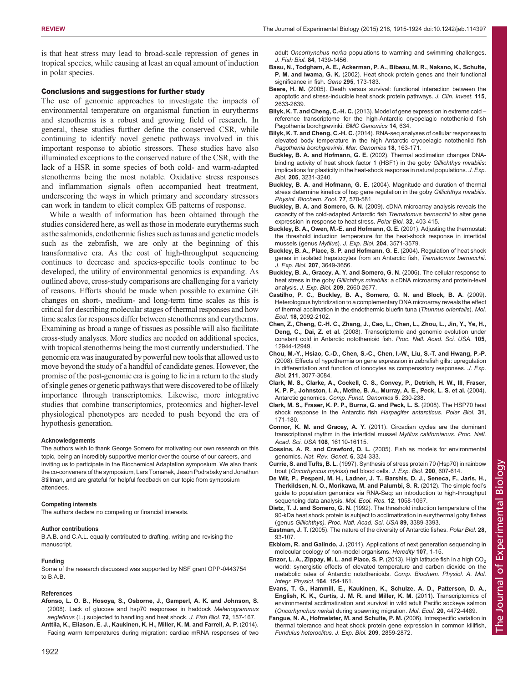<span id="page-7-0"></span>is that heat stress may lead to broad-scale repression of genes in tropical species, while causing at least an equal amount of induction in polar species.

#### Conclusions and suggestions for further study

The use of genomic approaches to investigate the impacts of environmental temperature on organismal function in eurytherms and stenotherms is a robust and growing field of research. In general, these studies further define the conserved CSR, while continuing to identify novel genetic pathways involved in this important response to abiotic stressors. These studies have also illuminated exceptions to the conserved nature of the CSR, with the lack of a HSR in some species of both cold- and warm-adapted stenotherms being the most notable. Oxidative stress responses and inflammation signals often accompanied heat treatment, underscoring the ways in which primary and secondary stressors can work in tandem to elicit complex GE patterns of response.

While a wealth of information has been obtained through the studies considered here, as well as those in moderate eurytherms such asthe salmonids, endothermic fishes such astunas and genetic models such as the zebrafish, we are only at the beginning of this transformative era. As the cost of high-throughput sequencing continues to decrease and species-specific tools continue to be developed, the utility of environmental genomics is expanding. As outlined above, cross-study comparisons are challenging for a variety of reasons. Efforts should be made when possible to examine GE changes on short-, medium- and long-term time scales as this is critical for describing molecular stages of thermal responses and how time scales for responses differ between stenotherms and eurytherms. Examining as broad a range of tissues as possible will also facilitate cross-study analyses. More studies are needed on additional species, with tropical stenotherms being the most currently understudied. The genomic era was inaugurated by powerful new tools that allowed us to move beyond the study of a handful of candidate genes. However, the promise of the post-genomic era is going to lie in a return to the study of single genes or genetic pathwaysthat were discovered to be of likely importance through transcriptomics. Likewise, more integrative studies that combine transcriptomics, proteomics and higher-level physiological phenotypes are needed to push beyond the era of hypothesis generation.

#### Acknowledgements

The authors wish to thank George Somero for motivating our own research on this topic, being an incredibly supportive mentor over the course of our careers, and inviting us to participate in the Biochemical Adaptation symposium. We also thank the co-conveners of the symposium, Lars Tomanek, Jason Podrabsky and Jonathon Stillman, and are grateful for helpful feedback on our topic from symposium attendees.

#### Competing interests

The authors declare no competing or financial interests.

#### Author contributions

B.A.B. and C.A.L. equally contributed to drafting, writing and revising the manuscript.

#### Funding

Some of the research discussed was supported by NSF grant OPP-0443754 to B.A.B.

#### References

- [Afonso, L. O. B., Hosoya, S., Osborne, J., Gamperl, A. K. and Johnson, S.](http://dx.doi.org/10.1111/j.1095-8649.2007.01697.x) [\(2008\). Lack of glucose and hsp70 responses in haddock](http://dx.doi.org/10.1111/j.1095-8649.2007.01697.x) Melanogrammus aeglefinus [\(L.\) subjected to handling and heat shock.](http://dx.doi.org/10.1111/j.1095-8649.2007.01697.x) J. Fish Biol. 72, 157-167.
- [Anttila, K., Eliason, E. J., Kaukinen, K. H., Miller, K. M. and Farrell, A. P.](http://dx.doi.org/10.1111/jfb.12367) (2014). [Facing warm temperatures during migration: cardiac mRNA responses of two](http://dx.doi.org/10.1111/jfb.12367)

adult Oncorhynchus nerka [populations to warming and swimming challenges.](http://dx.doi.org/10.1111/jfb.12367) J. Fish Biol. 84[, 1439-1456.](http://dx.doi.org/10.1111/jfb.12367)

- [Basu, N., Todgham, A. E., Ackerman, P. A., Bibeau, M. R., Nakano, K., Schulte,](http://dx.doi.org/10.1016/S0378-1119(02)00687-X) P. M. and Iwama, G. K. [\(2002\). Heat shock protein genes and their functional](http://dx.doi.org/10.1016/S0378-1119(02)00687-X) [significance in fish.](http://dx.doi.org/10.1016/S0378-1119(02)00687-X) Gene 295, 173-183.
- Beere, H. M. [\(2005\). Death versus survival: functional interaction between the](http://dx.doi.org/10.1172/JCI26471) [apoptotic and stress-inducible heat shock protein pathways.](http://dx.doi.org/10.1172/JCI26471) J. Clin. Invest. 115, [2633-2639.](http://dx.doi.org/10.1172/JCI26471)
- Bilyk, K. T. and Cheng, C.-H. C. [\(2013\). Model of gene expression in extreme cold](http://dx.doi.org/10.1186/1471-2164-14-634) [reference transcriptome for the high-Antarctic cryopelagic notothenioid fish](http://dx.doi.org/10.1186/1471-2164-14-634) [Pagothenia borchgrevinki.](http://dx.doi.org/10.1186/1471-2164-14-634) BMC Genomics 14, 634.
- Bilyk, K. T. and Cheng, C.-H. C. [\(2014\). RNA-seq analyses of cellular responses to](http://dx.doi.org/10.1016/j.margen.2014.06.006) [elevated body temperature in the high Antarctic cryopelagic nototheniid fish](http://dx.doi.org/10.1016/j.margen.2014.06.006) [Pagothenia borchgrevinki](http://dx.doi.org/10.1016/j.margen.2014.06.006). Mar. Genomics 18, 163-171.
- Buckley, B. A. and Hofmann, G. E. (2002). Thermal acclimation changes DNAbinding activity of heat shock factor 1 (HSF1) in the goby Gillichthys mirabilis: implications for plasticity in the heat-shock response in natural populations. J. Exp. Biol. 205, 3231-3240.
- Buckley, B. A. and Hofmann, G. E. [\(2004\). Magnitude and duration of thermal](http://dx.doi.org/10.1086/420944) [stress determine kinetics of hsp gene regulation in the goby](http://dx.doi.org/10.1086/420944) Gillichthys mirabilis. [Physiol. Biochem. Zool.](http://dx.doi.org/10.1086/420944) 77, 570-581.
- Buckley, B. A. and Somero, G. N. [\(2009\). cDNA microarray analysis reveals the](http://dx.doi.org/10.1007/s00300-008-0533-x) [capacity of the cold-adapted Antarctic fish](http://dx.doi.org/10.1007/s00300-008-0533-x) Trematomus bernacchii to alter gene [expression in response to heat stress.](http://dx.doi.org/10.1007/s00300-008-0533-x) Polar Biol. 32, 403-415.
- Buckley, B. A., Owen, M.-E. and Hofmann, G. E. (2001). Adjusting the thermostat: the threshold induction temperature for the heat-shock response in intertidal mussels (genus Mytilus). J. Exp. Biol. 204, 3571-3579.
- [Buckley, B. A., Place, S. P. and Hofmann, G. E.](http://dx.doi.org/10.1242/jeb.01219) (2004). Regulation of heat shock [genes in isolated hepatocytes from an Antarctic fish,](http://dx.doi.org/10.1242/jeb.01219) Trematomus bernacchii. J. Exp. Biol. 207[, 3649-3656.](http://dx.doi.org/10.1242/jeb.01219)
- [Buckley, B. A., Gracey, A. Y. and Somero, G. N.](http://dx.doi.org/10.1242/jeb.02292) (2006). The cellular response to heat stress in the goby Gillichthys mirabilis[: a cDNA microarray and protein-level](http://dx.doi.org/10.1242/jeb.02292) analysis. J. Exp. Biol. 209[, 2660-2677.](http://dx.doi.org/10.1242/jeb.02292)
- [Castilho, P. C., Buckley, B. A., Somero, G. N. and Block, B. A.](http://dx.doi.org/10.1111/j.1365-294X.2009.04174.x) (2009). [Heterologous hybridization to a complementary DNA microarray reveals the effect](http://dx.doi.org/10.1111/j.1365-294X.2009.04174.x) [of thermal acclimation in the endothermic bluefin tuna \(](http://dx.doi.org/10.1111/j.1365-294X.2009.04174.x)Thunnus orientalis). Mol. Ecol. 18[, 2092-2102.](http://dx.doi.org/10.1111/j.1365-294X.2009.04174.x)
- [Chen, Z., Cheng, C.-H. C., Zhang, J., Cao, L., Chen, L., Zhou, L., Jin, Y., Ye, H.,](http://dx.doi.org/10.1073/pnas.0802432105) Deng, C., Dai, Z. et al. [\(2008\). Transcriptomic and genomic evolution under](http://dx.doi.org/10.1073/pnas.0802432105) [constant cold in Antarctic notothenioid fish.](http://dx.doi.org/10.1073/pnas.0802432105) Proc. Natl. Acad. Sci. USA. 105, [12944-12949.](http://dx.doi.org/10.1073/pnas.0802432105)
- [Chou, M.-Y., Hsiao, C.-D., Chen, S.-C., Chen, I.-W., Liu, S.-T. and Hwang, P.-P.](http://dx.doi.org/10.1242/jeb.019950) [\(2008\). Effects of hypothermia on gene expression in zebrafish gills: upregulation](http://dx.doi.org/10.1242/jeb.019950) [in differentiation and function of ionocytes as compensatory responses.](http://dx.doi.org/10.1242/jeb.019950) J. Exp. Biol. 211[, 3077-3084.](http://dx.doi.org/10.1242/jeb.019950)
- [Clark, M. S., Clarke, A., Cockell, C. S., Convey, P., Detrich, H. W., III, Fraser,](http://dx.doi.org/10.1002/cfg.398) [K. P. P., Johnston, I. A., Methe, B. A., Murray, A. E., Peck, L. S. et al.](http://dx.doi.org/10.1002/cfg.398) (2004). Antarctic genomics. [Comp. Funct. Genomics](http://dx.doi.org/10.1002/cfg.398) 5, 230-238.
- [Clark, M. S., Fraser, K. P. P., Burns, G. and Peck, L. S.](http://dx.doi.org/10.1007/s00300-007-0344-5) (2008). The HSP70 heat [shock response in the Antarctic fish](http://dx.doi.org/10.1007/s00300-007-0344-5) Harpagifer antarcticus. Polar Biol. 31, [171-180.](http://dx.doi.org/10.1007/s00300-007-0344-5)
- Connor, K. M. and Gracey, A. Y. [\(2011\). Circadian cycles are the dominant](http://dx.doi.org/10.1073/pnas.1111076108) [transcriptional rhythm in the intertidal mussel](http://dx.doi.org/10.1073/pnas.1111076108) Mytilus californianus. Proc. Natl. [Acad. Sci. USA](http://dx.doi.org/10.1073/pnas.1111076108) 108, 16110-16115.
- Cossins, A. R. and Crawford, D. L. [\(2005\). Fish as models for environmental](http://dx.doi.org/10.1038/nrg1590) genomics. [Nat. Rev. Genet.](http://dx.doi.org/10.1038/nrg1590) 6, 324-333.
- Currie, S. and Tufts, B. L. (1997). Synthesis of stress protein 70 (Hsp70) in rainbow trout (Oncorhyncus mykiss) red blood cells. J. Exp. Biol. 200, 607-614.
- [De Wit, P., Pespeni, M. H., Ladner, J. T., Barshis, D. J., Seneca, F., Jaris, H.,](http://dx.doi.org/10.1111/1755-0998.12003) [Therkildsen, N. O., Morikawa, M. and Palumbi, S. R.](http://dx.doi.org/10.1111/1755-0998.12003) (2012). The simple fool's [guide to population genomics via RNA-Seq: an introduction to high-throughput](http://dx.doi.org/10.1111/1755-0998.12003) [sequencing data analysis.](http://dx.doi.org/10.1111/1755-0998.12003) Mol. Ecol. Res. 12, 1058-1067.
- Dietz, T. J. and Somero, G. N. [\(1992\). The threshold induction temperature of the](http://dx.doi.org/10.1073/pnas.89.8.3389) [90-kDa heat shock protein is subject to acclimatization in eurythermal goby fishes](http://dx.doi.org/10.1073/pnas.89.8.3389) (genus [Gillichthys\). Proc. Natl. Acad. Sci. USA](http://dx.doi.org/10.1073/pnas.89.8.3389) 89, 3389-3393.
- Eastman, J. T. [\(2005\). The nature of the diversity of Antarctic fishes.](http://dx.doi.org/10.1007/s00300-004-0667-4) Polar Biol. 28, [93-107.](http://dx.doi.org/10.1007/s00300-004-0667-4)
- Ekblom, R. and Galindo, J. [\(2011\). Applications of next generation sequencing in](http://dx.doi.org/10.1038/hdy.2010.152) [molecular ecology of non-model organisms.](http://dx.doi.org/10.1038/hdy.2010.152) Heredity 107, 1-15.
- Enzor, L. A., Zippay, M. L. and Place, S. P. (2013). High latitude fish in a high  $CO<sub>2</sub>$ [world: synergistic effects of elevated temperature and carbon dioxide on the](http://dx.doi.org/10.1016/j.cbpa.2012.07.016) [metabolic rates of Antarctic notothenioids.](http://dx.doi.org/10.1016/j.cbpa.2012.07.016) Comp. Biochem. Physiol. A. Mol. [Integr. Physiol.](http://dx.doi.org/10.1016/j.cbpa.2012.07.016) 164, 154-161.
- [Evans, T. G., Hammill, E., Kaukinen, K., Schulze, A. D., Patterson, D. A.,](http://dx.doi.org/10.1111/j.1365-294X.2011.05276.x) [English, K. K., Curtis, J. M. R. and Miller, K. M.](http://dx.doi.org/10.1111/j.1365-294X.2011.05276.x) (2011). Transcriptomics of [environmental acclimatization and survival in wild adult Pacific sockeye salmon](http://dx.doi.org/10.1111/j.1365-294X.2011.05276.x) (Oncorhynchus nerka[\) during spawning migration.](http://dx.doi.org/10.1111/j.1365-294X.2011.05276.x) Mol. Ecol. 20, 4472-4489.
- [Fangue, N. A., Hofmeister, M. and Schulte, P. M.](http://dx.doi.org/10.1242/jeb.02260) (2006). Intraspecific variation in [thermal tolerance and heat shock protein gene expression in common killifish,](http://dx.doi.org/10.1242/jeb.02260) [Fundulus heteroclitus. J. Exp. Biol.](http://dx.doi.org/10.1242/jeb.02260) 209, 2859-2872.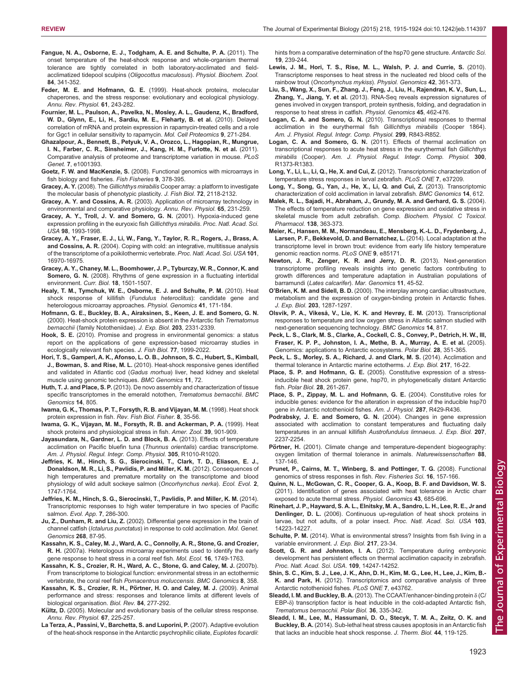- <span id="page-8-0"></span>[Fangue, N. A., Osborne, E. J., Todgham, A. E. and Schulte, P. A.](http://dx.doi.org/10.1086/660113) (2011). The [onset temperature of the heat-shock response and whole-organism thermal](http://dx.doi.org/10.1086/660113) [tolerance are tightly correlated in both laboratory-acclimated and field](http://dx.doi.org/10.1086/660113)[acclimatized tidepool sculpins \(](http://dx.doi.org/10.1086/660113)Oligocottus maculosus). Physiol. Biochem. Zool. 84[, 341-352.](http://dx.doi.org/10.1086/660113)
- Feder, M. E. and Hofmann, G. E. [\(1999\). Heat-shock proteins, molecular](http://dx.doi.org/10.1146/annurev.physiol.61.1.243) [chaperones, and the stress response: evolutionary and ecological physiology.](http://dx.doi.org/10.1146/annurev.physiol.61.1.243) [Annu. Rev. Physiol.](http://dx.doi.org/10.1146/annurev.physiol.61.1.243) 61, 243-282.
- [Fournier, M. L., Paulson, A., Pavelka, N., Mosley, A. L., Gaudenz, K., Bradford,](http://dx.doi.org/10.1074/mcp.M900415-MCP200) [W. D., Glynn, E., Li, H., Sardiu, M. E., Fleharty, B. et al.](http://dx.doi.org/10.1074/mcp.M900415-MCP200) (2010). Delayed [correlation of mRNA and protein expression in rapamycin-treated cells and a role](http://dx.doi.org/10.1074/mcp.M900415-MCP200) [for Ggc1 in cellular sensitivity to rapamycin.](http://dx.doi.org/10.1074/mcp.M900415-MCP200) Mol. Cell Proteomics 9, 271-284.
- [Ghazalpour, A., Bennett, B., Petyuk, V. A., Orozco, L., Hagopian, R., Mungrue,](http://dx.doi.org/10.1371/journal.pgen.1001393) [I. N., Farber, C. R., Sinsheimer, J., Kang, H. M., Furlotte, N. et al.](http://dx.doi.org/10.1371/journal.pgen.1001393) (2011). [Comparative analysis of proteome and transcriptome variation in mouse.](http://dx.doi.org/10.1371/journal.pgen.1001393) PLoS Genet. 7[, e1001393.](http://dx.doi.org/10.1371/journal.pgen.1001393)
- Goetz, F. W. and MacKenzie, S. [\(2008\). Functional genomics with microarrays in](http://dx.doi.org/10.1111/j.1467-2979.2008.00301.x) [fish biology and fisheries.](http://dx.doi.org/10.1111/j.1467-2979.2008.00301.x) Fish Fisheries 9, 378-395.
- Gracey, A. Y. (2008). The Gillichthys mirabilis [Cooper array: a platform to investigate](http://dx.doi.org/10.1111/j.1095-8649.2008.01903.x) [the molecular basis of phenotypic plasticity.](http://dx.doi.org/10.1111/j.1095-8649.2008.01903.x) J. Fish Biol. 72, 2118-2132.
- Gracey, A. Y. and Cossins, A. R. [\(2003\). Application of microarray technology in](http://dx.doi.org/10.1146/annurev.physiol.65.092101.142716) [environmental and comparative physiology.](http://dx.doi.org/10.1146/annurev.physiol.65.092101.142716) Annu. Rev. Physiol. 65, 231-259.
- [Gracey, A. Y., Troll, J. V. and Somero, G. N.](http://dx.doi.org/10.1073/pnas.98.4.1993) (2001). Hypoxia-induced gene [expression profiling in the euryoxic fish](http://dx.doi.org/10.1073/pnas.98.4.1993) Gillichthys mirabilis. Proc. Natl. Acad. Sci. USA 98[, 1993-1998.](http://dx.doi.org/10.1073/pnas.98.4.1993)
- [Gracey, A. Y., Fraser, E. J., Li, W., Fang, Y., Taylor, R. R., Rogers, J., Brass, A.](http://dx.doi.org/10.1073/pnas.0403627101) and Cossins, A. R. [\(2004\). Coping with cold: an integrative, multitissue analysis](http://dx.doi.org/10.1073/pnas.0403627101) [of the transcriptome of a poikilothermic vertebrate.](http://dx.doi.org/10.1073/pnas.0403627101) Proc. Natl. Acad. Sci. USA 101, [16970-16975.](http://dx.doi.org/10.1073/pnas.0403627101)
- [Gracey, A. Y., Chaney, M. L., Boomhower, J. P., Tyburczy, W. R., Connor, K. and](http://dx.doi.org/10.1016/j.cub.2008.08.049) Somero, G. N. [\(2008\). Rhythms of gene expression in a fluctuating intertidal](http://dx.doi.org/10.1016/j.cub.2008.08.049) [environment.](http://dx.doi.org/10.1016/j.cub.2008.08.049) Curr. Biol. 18, 1501-1507.
- [Healy, T. M., Tymchuk, W. E., Osborne, E. J. and Schulte, P. M.](http://dx.doi.org/10.1152/physiolgenomics.00209.2009) (2010). Heat [shock response of killifish \(](http://dx.doi.org/10.1152/physiolgenomics.00209.2009)Fundulus heteroclitus): candidate gene and [heterologous microarray approaches.](http://dx.doi.org/10.1152/physiolgenomics.00209.2009) Physiol. Genomics 41, 171-184.
- Hofmann, G. E., Buckley, B. A., Airaksinen, S., Keen, J. E. and Somero, G. N. (2000). Heat-shock protein expression is absent in the Antarctic fish Trematomus bernacchii (family Nototheniidae). J. Exp. Biol. 203, 2331-2339.
- Hook, S. E. [\(2010\). Promise and progress in environmental genomics: a status](http://dx.doi.org/10.1111/j.1095-8649.2010.02814.x) [report on the applications of gene expression-based microarray studies in](http://dx.doi.org/10.1111/j.1095-8649.2010.02814.x) [ecologically relevant fish species.](http://dx.doi.org/10.1111/j.1095-8649.2010.02814.x) J. Fish Biol. 77, 1999-2022.
- [Hori, T. S., Gamperl, A. K., Afonso, L. O. B., Johnson, S. C., Hubert, S., Kimball,](http://dx.doi.org/10.1186/1471-2164-11-72) J., Bowman, S. and Rise, M. L. [\(2010\). Heat-shock responsive genes identified](http://dx.doi.org/10.1186/1471-2164-11-72) and validated in Atlantic cod (Gadus morhua[\) liver, head kidney and skeletal](http://dx.doi.org/10.1186/1471-2164-11-72) [muscle using genomic techniques.](http://dx.doi.org/10.1186/1471-2164-11-72) BMC Genomics 11, 72.
- Huth, T. J. and Place, S. P. [\(2013\). De novo assembly and characterization of tissue](http://dx.doi.org/10.1186/1471-2164-14-805) [specific transcriptomes in the emerald notothen,](http://dx.doi.org/10.1186/1471-2164-14-805) Trematomus bernacchii. BMC [Genomics](http://dx.doi.org/10.1186/1471-2164-14-805) 14, 805.
- [Iwama, G. K., Thomas, P. T., Forsyth, R. B. and Vijayan, M. M.](http://dx.doi.org/10.1023/A:1008812500650) (1998). Heat shock [protein expression in fish.](http://dx.doi.org/10.1023/A:1008812500650) Rev. Fish Biol. Fisher. 8, 35-56.
- [Iwama, G. K., Vijayan, M. M., Forsyth, R. B. and Ackerman, P. A.](http://dx.doi.org/10.1093/icb/39.6.901) (1999). Heat [shock proteins and physiological stress in fish.](http://dx.doi.org/10.1093/icb/39.6.901) Amer. Zool. 39, 901-909.
- [Jayasundara, N., Gardner, L. D. and Block, B. A.](http://dx.doi.org/10.1152/ajpregu.00254.2013) (2013). Effects of temperature [acclimation on Pacific bluefin tuna \(](http://dx.doi.org/10.1152/ajpregu.00254.2013)Thunnus orientalis) cardiac transcriptome. [Am. J. Physiol. Regul. Integr. Comp. Physiol.](http://dx.doi.org/10.1152/ajpregu.00254.2013) 305, R1010-R1020.
- [Jeffries, K. M., Hinch, S. G., Sierocinski, T., Clark, T. D., Eliason, E. J.,](http://dx.doi.org/10.1002/ece3.274) [Donaldson, M. R., Li, S., Pavlidis, P. and Miller, K. M.](http://dx.doi.org/10.1002/ece3.274) (2012). Consequences of [high temperatures and premature mortality on the transcriptome and blood](http://dx.doi.org/10.1002/ece3.274) [physiology of wild adult sockeye salmon \(](http://dx.doi.org/10.1002/ece3.274)Oncorhynchus nerka). Ecol. Evol. 2, [1747-1764.](http://dx.doi.org/10.1002/ece3.274)
- [Jeffries, K. M., Hinch, S. G., Sierocinski, T., Pavlidis, P. and Miller, K. M.](http://dx.doi.org/10.1111/eva.12119) (2014). [Transcriptomic responses to high water temperature in two species of Pacific](http://dx.doi.org/10.1111/eva.12119) salmon. [Evol. App.](http://dx.doi.org/10.1111/eva.12119) 7, 286-300.
- Ju, Z., Dunham, R. and Liu, Z. [\(2002\). Differential gene expression in the brain of](http://dx.doi.org/10.1007/s00438-002-0727-9) channel catfish (Ictalurus punctatus[\) in response to cold acclimation.](http://dx.doi.org/10.1007/s00438-002-0727-9) Mol. Genet. [Genomics](http://dx.doi.org/10.1007/s00438-002-0727-9) 268, 87-95.
- [Kassahn, K. S., Caley, M. J., Ward, A. C., Connolly, A. R., Stone, G. and Crozier,](http://dx.doi.org/10.1111/j.1365-294X.2006.03178.x) R. H. [\(2007a\). Heterologous microarray experiments used to identify the early](http://dx.doi.org/10.1111/j.1365-294X.2006.03178.x) [gene response to heat stress in a coral reef fish.](http://dx.doi.org/10.1111/j.1365-294X.2006.03178.x) Mol. Ecol. 16, 1749-1763.
- [Kassahn, K. S., Crozier, R. H., Ward, A. C., Stone, G. and Caley, M. J.](http://dx.doi.org/10.1186/1471-2164-8-358) (2007b). [From transcriptome to biological function: environmental stress in an ectothermic](http://dx.doi.org/10.1186/1471-2164-8-358) [vertebrate, the coral reef fish](http://dx.doi.org/10.1186/1471-2164-8-358) Pomacentrus moluccensis. BMC Genomics 8, 358.
- Kassahn, K. S., Crozier, R. H., Pörtner, H. O. and Caley, M. J. (2009). Animal [performance and stress: responses and tolerance limits at different levels of](http://dx.doi.org/10.1111/j.1469-185X.2008.00073.x) [biological organisation.](http://dx.doi.org/10.1111/j.1469-185X.2008.00073.x) Biol. Rev. 84, 277-292.
- Kültz, D. [\(2005\). Molecular and evolutionary basis of the cellular stress response.](http://dx.doi.org/10.1146/annurev.physiol.67.040403.103635) [Annu. Rev. Physiol.](http://dx.doi.org/10.1146/annurev.physiol.67.040403.103635) 67, 225-257.
- [La Terza, A., Passini, V., Barchetta, S. and Luporini, P.](http://dx.doi.org/10.1017/S0954102007000314) (2007). Adaptive evolution [of the heat-shock response in the Antarctic psychrophilic ciliate,](http://dx.doi.org/10.1017/S0954102007000314) Euplotes focardii:

[hints from a comparative determination of the hsp70 gene structure.](http://dx.doi.org/10.1017/S0954102007000314) Antarctic Sci. 19[, 239-244.](http://dx.doi.org/10.1017/S0954102007000314)

- [Lewis, J. M., Hori, T. S., Rise, M. L., Walsh, P. J. and Currie, S.](http://dx.doi.org/10.1152/physiolgenomics.00067.2010) (2010). [Transcriptome responses to heat stress in the nucleated red blood cells of the](http://dx.doi.org/10.1152/physiolgenomics.00067.2010) rainbow trout ([Oncorhynchus mykiss](http://dx.doi.org/10.1152/physiolgenomics.00067.2010)). Physiol. Genomics 42, 361-373.
- [Liu, S., Wang, X., Sun, F., Zhang, J., Feng, J., Liu, H., Rajendran, K. V., Sun, L.,](http://dx.doi.org/10.1152/physiolgenomics.00026.2013) Zhang, Y., Jiang, Y. et al. [\(2013\). RNA-Seq reveals expression signatures of](http://dx.doi.org/10.1152/physiolgenomics.00026.2013) [genes involved in oxygen transport, protein synthesis, folding, and degradation in](http://dx.doi.org/10.1152/physiolgenomics.00026.2013) [response to heat stress in catfish.](http://dx.doi.org/10.1152/physiolgenomics.00026.2013) Physiol. Genomics 45, 462-476.
- Logan, C. A. and Somero, G. N. [\(2010\). Transcriptional responses to thermal](http://dx.doi.org/10.1152/ajpregu.00306.2010) [acclimation in the eurythermal fish](http://dx.doi.org/10.1152/ajpregu.00306.2010) Gillichthys mirabilis (Cooper 1864). [Am. J. Physiol. Regul. Integr. Comp. Physiol.](http://dx.doi.org/10.1152/ajpregu.00306.2010) 299, R843-R852.
- Logan, C. A. and Somero, G. N. [\(2011\). Effects of thermal acclimation on](http://dx.doi.org/10.1152/ajpregu.00689.2010) [transcriptional responses to acute heat stress in the eurythermal fish](http://dx.doi.org/10.1152/ajpregu.00689.2010) Gillichthys mirabilis (Cooper). [Am. J. Physiol. Regul. Integr. Comp. Physiol.](http://dx.doi.org/10.1152/ajpregu.00689.2010) 300, [R1373-R1383.](http://dx.doi.org/10.1152/ajpregu.00689.2010)
- Long, Y., Li, L., Li, Q., He, X. and Cui, Z. [\(2012\). Transcriptomic characterization of](http://dx.doi.org/10.1371/journal.pone.0037209) [temperature stress responses in larval zebrafish.](http://dx.doi.org/10.1371/journal.pone.0037209) PLoS ONE 7, e37209.
- [Long, Y., Song, G., Yan, J., He, X., Li, Q. and Cui, Z.](http://dx.doi.org/10.1186/1471-2164-14-612) (2013). Transcriptomic [characterization of cold acclimation in larval zebrafish.](http://dx.doi.org/10.1186/1471-2164-14-612) BMC Genomics 14, 612.
- [Malek, R. L., Sajadi, H., Abraham, J., Grundy, M. A. and Gerhard, G. S.](http://dx.doi.org/10.1016/j.cca.2004.08.014) (2004). [The effects of temperature reduction on gene expression and oxidative stress in](http://dx.doi.org/10.1016/j.cca.2004.08.014) [skeletal muscle from adult zebrafish.](http://dx.doi.org/10.1016/j.cca.2004.08.014) Comp. Biochem. Physiol. C Toxicol. [Pharmacol.](http://dx.doi.org/10.1016/j.cca.2004.08.014) 138, 363-373.
- [Meier, K., Hansen, M. M., Normandeau, E., Mensberg, K.-L. D., Frydenberg, J.,](http://dx.doi.org/10.1371/journal.pone.0085171) [Larsen, P. F., Bekkevold, D. and Bernatchez, L.](http://dx.doi.org/10.1371/journal.pone.0085171) (2014). Local adaptation at the [transcriptome level in brown trout: evidence from early life history temperature](http://dx.doi.org/10.1371/journal.pone.0085171) [genomic reaction norms.](http://dx.doi.org/10.1371/journal.pone.0085171) PLoS ONE 9, e85171.
- [Newton, J. R., Zenger, K. R. and Jerry, D. R.](http://dx.doi.org/10.1016/j.margen.2013.07.002) (2013). Next-generation [transcriptome profiling reveals insights into genetic factors contributing to](http://dx.doi.org/10.1016/j.margen.2013.07.002) [growth differences and temperature adaptation in Australian populations of](http://dx.doi.org/10.1016/j.margen.2013.07.002) barramundi (Lates calcarifer). [Mar. Genomics](http://dx.doi.org/10.1016/j.margen.2013.07.002) 11, 45-52.
- O'Brien, K. M. and Sidell, B. D. (2000). The interplay among cardiac ultrastructure, metabolism and the expression of oxygen-binding protein in Antarctic fishes. J. Exp. Biol. 203, 1287-1297.
- [Olsvik, P. A., Vikeså, V., Lie, K. K. and Hevrøy, E. M.](http://dx.doi.org/10.1186/1471-2164-14-817) (2013). Transcriptional [responses to temperature and low oxygen stress in Atlantic salmon studied with](http://dx.doi.org/10.1186/1471-2164-14-817) [next-generation sequencing technology.](http://dx.doi.org/10.1186/1471-2164-14-817) BMC Genomics 14, 817.
- [Peck, L. S., Clark, M. S., Clarke, A., Cockell, C. S., Convey, P., Detrich, H. W., III,](http://dx.doi.org/10.1007/s00300-004-0671-8) [Fraser, K. P. P., Johnston, I. A., Methe, B. A., Murray, A. E. et al.](http://dx.doi.org/10.1007/s00300-004-0671-8) (2005). [Genomics: applications to Antarctic ecosystems.](http://dx.doi.org/10.1007/s00300-004-0671-8) Polar Biol. 28, 351-365.
- [Peck, L. S., Morley, S. A., Richard, J. and Clark, M. S.](http://dx.doi.org/10.1242/jeb.089946) (2014). Acclimation and [thermal tolerance in Antarctic marine ectotherms.](http://dx.doi.org/10.1242/jeb.089946) J. Exp. Biol. 217, 16-22.
- Place, S. P. and Hofmann, G. E. [\(2005\). Constitutive expression of a stress](http://dx.doi.org/10.1007/s00300-004-0697-y)[inducible heat shock protein gene, hsp70, in phylogenetically distant Antarctic](http://dx.doi.org/10.1007/s00300-004-0697-y) fish. [Polar Biol.](http://dx.doi.org/10.1007/s00300-004-0697-y) 28, 261-267.
- [Place, S. P., Zippay, M. L. and Hofmann, G. E.](http://dx.doi.org/10.1152/ajpregu.00223.2004) (2004). Constitutive roles for [inducible genes: evidence for the alteration in expression of the inducible hsp70](http://dx.doi.org/10.1152/ajpregu.00223.2004) [gene in Antarctic notothenioid fishes.](http://dx.doi.org/10.1152/ajpregu.00223.2004) Am. J. Physiol. 287, R429-R436.
- [Podrabsky, J. E. and Somero, G. N.](http://dx.doi.org/10.1242/jeb.01016) (2004). Changes in gene expression [associated with acclimation to constant temperatures and fluctuating daily](http://dx.doi.org/10.1242/jeb.01016) [temperatures in an annual killifish](http://dx.doi.org/10.1242/jeb.01016) Austrofundulus limnaeus. J. Exp. Biol. 207, [2237-2254.](http://dx.doi.org/10.1242/jeb.01016)
- Pörtner, H. [\(2001\). Climate change and temperature-dependent biogeography:](http://dx.doi.org/10.1007/s001140100216) [oxygen limitation of thermal tolerance in animals.](http://dx.doi.org/10.1007/s001140100216) Naturewissenschaften 88, [137-146.](http://dx.doi.org/10.1007/s001140100216)
- [Prunet, P., Cairns, M. T., Winberg, S. and Pottinger, T. G.](http://dx.doi.org/10.1080/10641260802341838) (2008). Functional [genomics of stress responses in fish.](http://dx.doi.org/10.1080/10641260802341838) Rev. Fisheries Sci. 16, 157-166.
- [Quinn, N. L., McGowan, C. R., Cooper, G. A., Koop, B. F. and Davidson, W. S.](http://dx.doi.org/10.1152/physiolgenomics.00008.2011) [\(2011\). Identification of genes associated with heat tolerance in Arctic charr](http://dx.doi.org/10.1152/physiolgenomics.00008.2011) [exposed to acute thermal stress.](http://dx.doi.org/10.1152/physiolgenomics.00008.2011) Physiol. Genomics 43, 685-696.
- [Rinehart, J. P., Hayward, S. A. L., Elnitsky, M. A., Sandro, L. H., Lee, R. E., Jr and](http://dx.doi.org/10.1073/pnas.0606840103) Denlinger, D. L. [\(2006\). Continuous up-regulation of heat shock proteins in](http://dx.doi.org/10.1073/pnas.0606840103) [larvae, but not adults, of a polar insect.](http://dx.doi.org/10.1073/pnas.0606840103) Proc. Natl. Acad. Sci. USA 103, [14223-14227.](http://dx.doi.org/10.1073/pnas.0606840103)
- Schulte, P. M. [\(2014\). What is environmental stress? Insights from fish living in a](http://dx.doi.org/10.1242/jeb.089722) [variable environment.](http://dx.doi.org/10.1242/jeb.089722) J. Exp. Biol. 217, 23-34.
- Scott, G. R. and Johnston, I. A. [\(2012\). Temperature during embryonic](http://dx.doi.org/10.1073/pnas.1205012109) [development has persistent effects on thermal acclimation capacity in zebrafish.](http://dx.doi.org/10.1073/pnas.1205012109) [Proc. Natl. Acad. Sci. USA.](http://dx.doi.org/10.1073/pnas.1205012109) 109, 14247-14252.
- [Shin, S. C., Kim, S. J., Lee, J. K., Ahn, D. H., Kim, M. G., Lee, H., Lee, J., Kim, B.-](http://dx.doi.org/10.1371/journal.pone.0043762) K. and Park, H. [\(2012\). Transcriptomics and comparative analysis of three](http://dx.doi.org/10.1371/journal.pone.0043762) [Antarctic notothenioid fishes.](http://dx.doi.org/10.1371/journal.pone.0043762) PLoS ONE 7, e43762.
- Sleadd, I. M. and Buckley, B. A. [\(2013\). The CCAAT/enhancer-binding protein](http://dx.doi.org/10.1007/s00300-012-1262-8) δ (C/ EBP-δ[\) transcription factor is heat inducible in the cold-adapted Antarctic fish,](http://dx.doi.org/10.1007/s00300-012-1262-8) [Trematomus bernacchii](http://dx.doi.org/10.1007/s00300-012-1262-8). Polar Biol. 36, 335-342.
- [Sleadd, I. M., Lee, M., Hassumani, D. O., Stecyk, T. M. A., Zeitz, O. K. and](http://dx.doi.org/10.1016/j.jtherbio.2014.06.007) Buckley, B. A. [\(2014\). Sub-lethal heat stress causes apoptosis in an Antarctic fish](http://dx.doi.org/10.1016/j.jtherbio.2014.06.007) [that lacks an inducible heat shock response.](http://dx.doi.org/10.1016/j.jtherbio.2014.06.007) J. Therm. Biol. 44, 119-125.